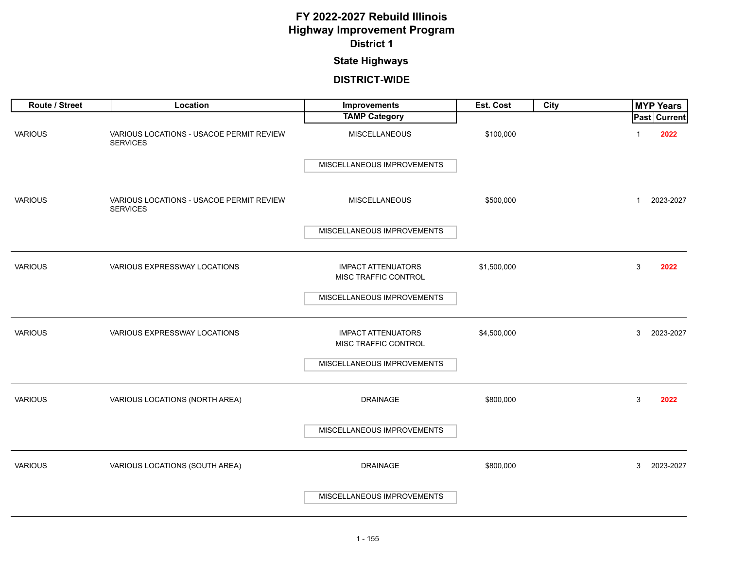### **State Highways**

| Route / Street | Location                                                    | Improvements                                      | Est. Cost   | City | <b>MYP Years</b>     |
|----------------|-------------------------------------------------------------|---------------------------------------------------|-------------|------|----------------------|
|                |                                                             | <b>TAMP Category</b>                              |             |      | Past Current         |
| <b>VARIOUS</b> | VARIOUS LOCATIONS - USACOE PERMIT REVIEW<br><b>SERVICES</b> | <b>MISCELLANEOUS</b>                              | \$100,000   |      | 2022<br>1            |
|                |                                                             | MISCELLANEOUS IMPROVEMENTS                        |             |      |                      |
| <b>VARIOUS</b> | VARIOUS LOCATIONS - USACOE PERMIT REVIEW<br><b>SERVICES</b> | <b>MISCELLANEOUS</b>                              | \$500,000   |      | 2023-2027<br>1       |
|                |                                                             | MISCELLANEOUS IMPROVEMENTS                        |             |      |                      |
| <b>VARIOUS</b> | VARIOUS EXPRESSWAY LOCATIONS                                | <b>IMPACT ATTENUATORS</b><br>MISC TRAFFIC CONTROL | \$1,500,000 |      | 3<br>2022            |
|                |                                                             | MISCELLANEOUS IMPROVEMENTS                        |             |      |                      |
| <b>VARIOUS</b> | VARIOUS EXPRESSWAY LOCATIONS                                | <b>IMPACT ATTENUATORS</b><br>MISC TRAFFIC CONTROL | \$4,500,000 |      | 3<br>2023-2027       |
|                |                                                             | MISCELLANEOUS IMPROVEMENTS                        |             |      |                      |
| <b>VARIOUS</b> | VARIOUS LOCATIONS (NORTH AREA)                              | <b>DRAINAGE</b>                                   | \$800,000   |      | $\mathbf{3}$<br>2022 |
|                |                                                             | MISCELLANEOUS IMPROVEMENTS                        |             |      |                      |
| <b>VARIOUS</b> | VARIOUS LOCATIONS (SOUTH AREA)                              | <b>DRAINAGE</b>                                   | \$800,000   |      | 3<br>2023-2027       |
|                |                                                             | MISCELLANEOUS IMPROVEMENTS                        |             |      |                      |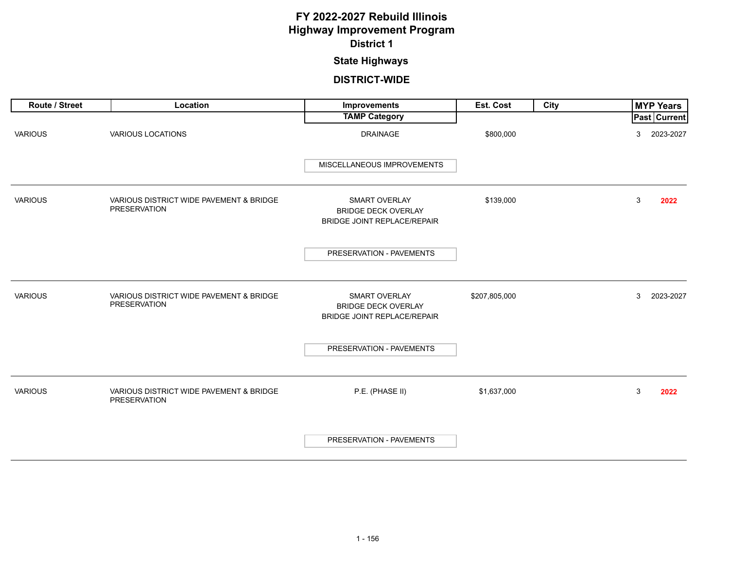### **State Highways**

| Route / Street | Location                                                       | Improvements                                                                             | Est. Cost     | <b>City</b> | <b>MYP Years</b>    |
|----------------|----------------------------------------------------------------|------------------------------------------------------------------------------------------|---------------|-------------|---------------------|
|                |                                                                | <b>TAMP Category</b>                                                                     |               |             | <b>Past Current</b> |
| <b>VARIOUS</b> | VARIOUS LOCATIONS                                              | <b>DRAINAGE</b>                                                                          | \$800,000     |             | 2023-2027<br>3      |
|                |                                                                | MISCELLANEOUS IMPROVEMENTS                                                               |               |             |                     |
| <b>VARIOUS</b> | VARIOUS DISTRICT WIDE PAVEMENT & BRIDGE<br>PRESERVATION        | <b>SMART OVERLAY</b><br><b>BRIDGE DECK OVERLAY</b><br><b>BRIDGE JOINT REPLACE/REPAIR</b> | \$139,000     |             | 3<br>2022           |
|                |                                                                | PRESERVATION - PAVEMENTS                                                                 |               |             |                     |
| <b>VARIOUS</b> | VARIOUS DISTRICT WIDE PAVEMENT & BRIDGE<br><b>PRESERVATION</b> | <b>SMART OVERLAY</b><br><b>BRIDGE DECK OVERLAY</b><br><b>BRIDGE JOINT REPLACE/REPAIR</b> | \$207,805,000 |             | 3<br>2023-2027      |
|                |                                                                | PRESERVATION - PAVEMENTS                                                                 |               |             |                     |
| <b>VARIOUS</b> | VARIOUS DISTRICT WIDE PAVEMENT & BRIDGE<br>PRESERVATION        | P.E. (PHASE II)                                                                          | \$1,637,000   |             | 3<br>2022           |
|                |                                                                | PRESERVATION - PAVEMENTS                                                                 |               |             |                     |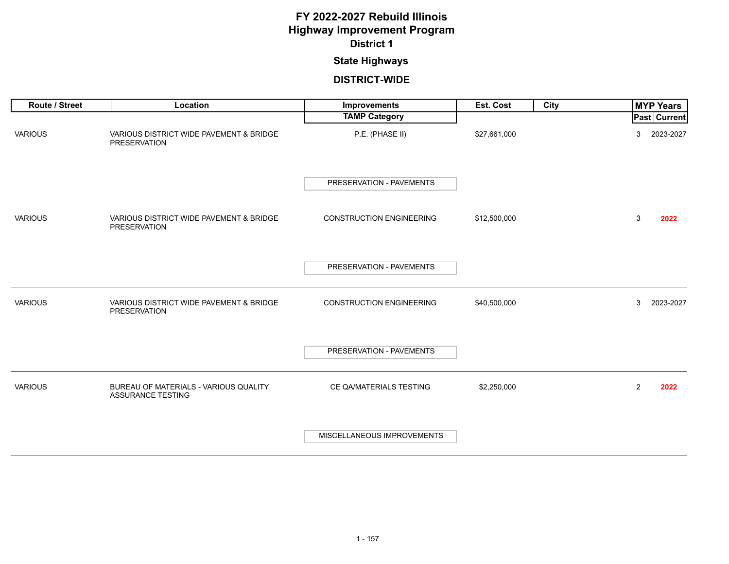### **State Highways**

| Route / Street | Location                                                          | Improvements                    | Est. Cost    | City | <b>MYP Years</b>       |
|----------------|-------------------------------------------------------------------|---------------------------------|--------------|------|------------------------|
|                |                                                                   | <b>TAMP Category</b>            |              |      | <b>Past Current</b>    |
| <b>VARIOUS</b> | VARIOUS DISTRICT WIDE PAVEMENT & BRIDGE<br><b>PRESERVATION</b>    | P.E. (PHASE II)                 | \$27,661,000 |      | 2023-2027<br>3         |
|                |                                                                   | PRESERVATION - PAVEMENTS        |              |      |                        |
| <b>VARIOUS</b> | VARIOUS DISTRICT WIDE PAVEMENT & BRIDGE<br><b>PRESERVATION</b>    | <b>CONSTRUCTION ENGINEERING</b> | \$12,500,000 |      | 3<br>2022              |
|                |                                                                   | PRESERVATION - PAVEMENTS        |              |      |                        |
| <b>VARIOUS</b> | VARIOUS DISTRICT WIDE PAVEMENT & BRIDGE<br><b>PRESERVATION</b>    | <b>CONSTRUCTION ENGINEERING</b> | \$40,500,000 |      | 3<br>2023-2027         |
|                |                                                                   | PRESERVATION - PAVEMENTS        |              |      |                        |
| <b>VARIOUS</b> | BUREAU OF MATERIALS - VARIOUS QUALITY<br><b>ASSURANCE TESTING</b> | CE QA/MATERIALS TESTING         | \$2,250,000  |      | $\overline{2}$<br>2022 |
|                |                                                                   | MISCELLANEOUS IMPROVEMENTS      |              |      |                        |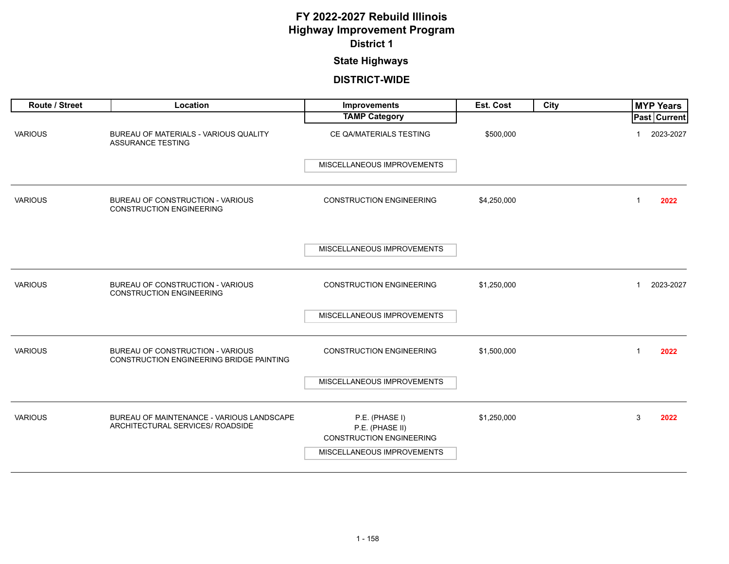### **State Highways**

| Route / Street | Location                                                                            | Improvements                                                         | Est. Cost   | City | <b>MYP Years</b>          |
|----------------|-------------------------------------------------------------------------------------|----------------------------------------------------------------------|-------------|------|---------------------------|
|                |                                                                                     | <b>TAMP Category</b>                                                 |             |      | <b>Past Current</b>       |
| <b>VARIOUS</b> | BUREAU OF MATERIALS - VARIOUS QUALITY<br><b>ASSURANCE TESTING</b>                   | CE QA/MATERIALS TESTING                                              | \$500,000   |      | 2023-2027                 |
|                |                                                                                     | MISCELLANEOUS IMPROVEMENTS                                           |             |      |                           |
| <b>VARIOUS</b> | BUREAU OF CONSTRUCTION - VARIOUS<br><b>CONSTRUCTION ENGINEERING</b>                 | <b>CONSTRUCTION ENGINEERING</b>                                      | \$4,250,000 |      | 2022<br>$\mathbf{1}$      |
|                |                                                                                     | MISCELLANEOUS IMPROVEMENTS                                           |             |      |                           |
| <b>VARIOUS</b> | BUREAU OF CONSTRUCTION - VARIOUS<br><b>CONSTRUCTION ENGINEERING</b>                 | <b>CONSTRUCTION ENGINEERING</b>                                      | \$1,250,000 |      | 2023-2027<br>$\mathbf{1}$ |
|                |                                                                                     | MISCELLANEOUS IMPROVEMENTS                                           |             |      |                           |
| <b>VARIOUS</b> | BUREAU OF CONSTRUCTION - VARIOUS<br><b>CONSTRUCTION ENGINEERING BRIDGE PAINTING</b> | <b>CONSTRUCTION ENGINEERING</b>                                      | \$1,500,000 |      | 2022<br>$\mathbf 1$       |
|                |                                                                                     | MISCELLANEOUS IMPROVEMENTS                                           |             |      |                           |
| <b>VARIOUS</b> | BUREAU OF MAINTENANCE - VARIOUS LANDSCAPE<br>ARCHITECTURAL SERVICES/ ROADSIDE       | P.E. (PHASE I)<br>P.E. (PHASE II)<br><b>CONSTRUCTION ENGINEERING</b> | \$1,250,000 |      | 3<br>2022                 |
|                |                                                                                     | MISCELLANEOUS IMPROVEMENTS                                           |             |      |                           |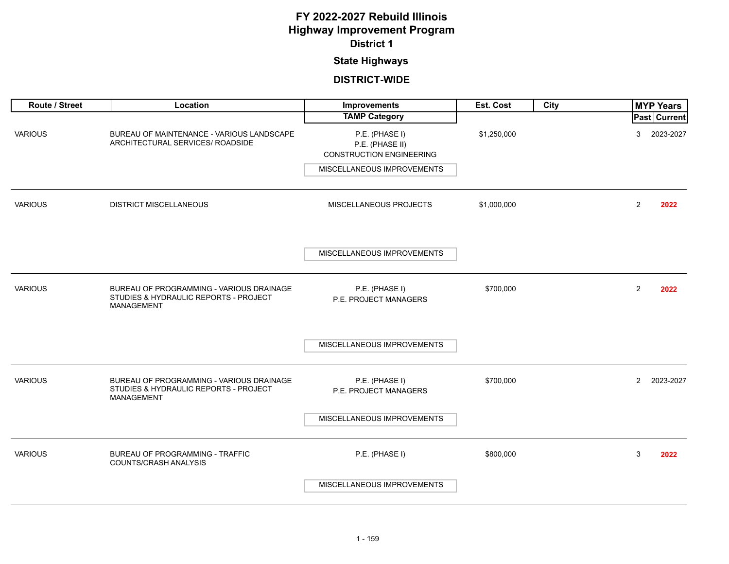### **State Highways**

| Route / Street | Location                                                                                        | Improvements                                                         | Est. Cost   | City | <b>MYP Years</b>            |
|----------------|-------------------------------------------------------------------------------------------------|----------------------------------------------------------------------|-------------|------|-----------------------------|
|                |                                                                                                 | <b>TAMP Category</b>                                                 |             |      | Past   Current              |
| <b>VARIOUS</b> | BUREAU OF MAINTENANCE - VARIOUS LANDSCAPE<br>ARCHITECTURAL SERVICES/ ROADSIDE                   | P.E. (PHASE I)<br>P.E. (PHASE II)<br><b>CONSTRUCTION ENGINEERING</b> | \$1,250,000 |      | 3<br>2023-2027              |
|                |                                                                                                 | MISCELLANEOUS IMPROVEMENTS                                           |             |      |                             |
| <b>VARIOUS</b> | <b>DISTRICT MISCELLANEOUS</b>                                                                   | MISCELLANEOUS PROJECTS                                               | \$1,000,000 |      | 2<br>2022                   |
|                |                                                                                                 | MISCELLANEOUS IMPROVEMENTS                                           |             |      |                             |
| <b>VARIOUS</b> | BUREAU OF PROGRAMMING - VARIOUS DRAINAGE<br>STUDIES & HYDRAULIC REPORTS - PROJECT<br>MANAGEMENT | P.E. (PHASE I)<br>P.E. PROJECT MANAGERS                              | \$700,000   |      | $\overline{2}$<br>2022      |
|                |                                                                                                 | MISCELLANEOUS IMPROVEMENTS                                           |             |      |                             |
| <b>VARIOUS</b> | BUREAU OF PROGRAMMING - VARIOUS DRAINAGE<br>STUDIES & HYDRAULIC REPORTS - PROJECT<br>MANAGEMENT | P.E. (PHASE I)<br>P.E. PROJECT MANAGERS                              | \$700,000   |      | $\overline{2}$<br>2023-2027 |
|                |                                                                                                 | MISCELLANEOUS IMPROVEMENTS                                           |             |      |                             |
| <b>VARIOUS</b> | <b>BUREAU OF PROGRAMMING - TRAFFIC</b><br>COUNTS/CRASH ANALYSIS                                 | P.E. (PHASE I)                                                       | \$800,000   |      | 3<br>2022                   |
|                |                                                                                                 | MISCELLANEOUS IMPROVEMENTS                                           |             |      |                             |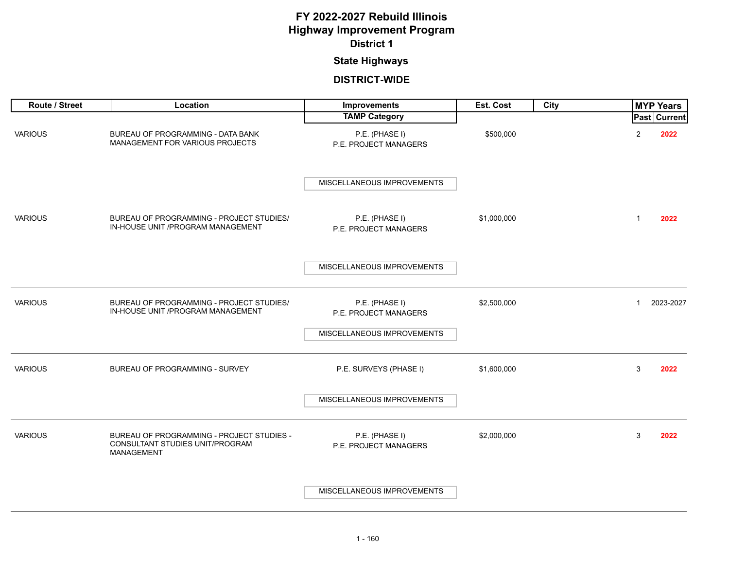#### **State Highways**

| Route / Street | Location                                                                                   | Improvements                            | Est. Cost   | City | <b>MYP Years</b>          |
|----------------|--------------------------------------------------------------------------------------------|-----------------------------------------|-------------|------|---------------------------|
|                |                                                                                            | <b>TAMP Category</b>                    |             |      | Past Current              |
| <b>VARIOUS</b> | BUREAU OF PROGRAMMING - DATA BANK<br>MANAGEMENT FOR VARIOUS PROJECTS                       | P.E. (PHASE I)<br>P.E. PROJECT MANAGERS | \$500,000   |      | $\overline{c}$<br>2022    |
|                |                                                                                            | MISCELLANEOUS IMPROVEMENTS              |             |      |                           |
| <b>VARIOUS</b> | BUREAU OF PROGRAMMING - PROJECT STUDIES/<br>IN-HOUSE UNIT /PROGRAM MANAGEMENT              | P.E. (PHASE I)<br>P.E. PROJECT MANAGERS | \$1,000,000 |      | $\overline{1}$<br>2022    |
|                |                                                                                            | MISCELLANEOUS IMPROVEMENTS              |             |      |                           |
| <b>VARIOUS</b> | BUREAU OF PROGRAMMING - PROJECT STUDIES/<br>IN-HOUSE UNIT /PROGRAM MANAGEMENT              | P.E. (PHASE I)<br>P.E. PROJECT MANAGERS | \$2,500,000 |      | 2023-2027<br>$\mathbf{1}$ |
|                |                                                                                            | MISCELLANEOUS IMPROVEMENTS              |             |      |                           |
| <b>VARIOUS</b> | BUREAU OF PROGRAMMING - SURVEY                                                             | P.E. SURVEYS (PHASE I)                  | \$1,600,000 |      | 3<br>2022                 |
|                |                                                                                            | MISCELLANEOUS IMPROVEMENTS              |             |      |                           |
| <b>VARIOUS</b> | BUREAU OF PROGRAMMING - PROJECT STUDIES -<br>CONSULTANT STUDIES UNIT/PROGRAM<br>MANAGEMENT | P.E. (PHASE I)<br>P.E. PROJECT MANAGERS | \$2,000,000 |      | 3<br>2022                 |
|                |                                                                                            | MISCELLANEOUS IMPROVEMENTS              |             |      |                           |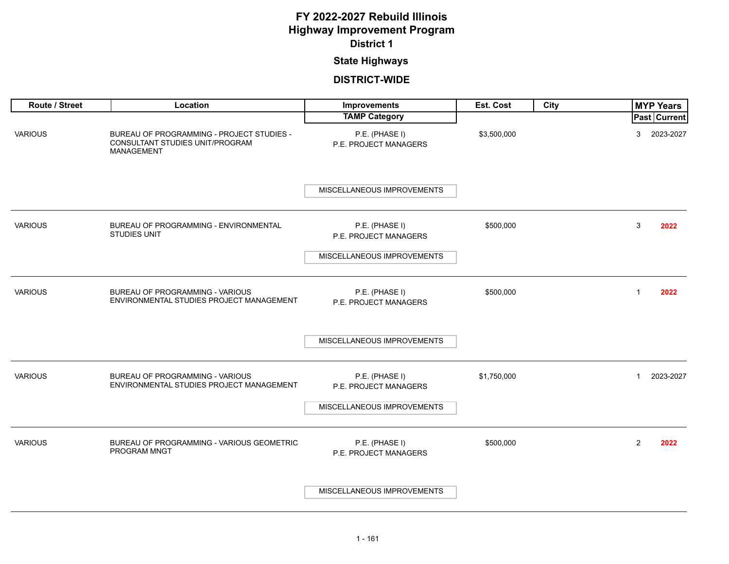#### **State Highways**

| Route / Street | Location                                                                                   | <b>Improvements</b>                                                   | Est. Cost   | City | <b>MYP Years</b>          |
|----------------|--------------------------------------------------------------------------------------------|-----------------------------------------------------------------------|-------------|------|---------------------------|
|                |                                                                                            | <b>TAMP Category</b>                                                  |             |      | Past Current              |
| <b>VARIOUS</b> | BUREAU OF PROGRAMMING - PROJECT STUDIES -<br>CONSULTANT STUDIES UNIT/PROGRAM<br>MANAGEMENT | P.E. (PHASE I)<br>P.E. PROJECT MANAGERS                               | \$3,500,000 |      | 3<br>2023-2027            |
|                |                                                                                            | MISCELLANEOUS IMPROVEMENTS                                            |             |      |                           |
| <b>VARIOUS</b> | BUREAU OF PROGRAMMING - ENVIRONMENTAL<br><b>STUDIES UNIT</b>                               | P.E. (PHASE I)<br>P.E. PROJECT MANAGERS                               | \$500,000   |      | 3<br>2022                 |
|                |                                                                                            | MISCELLANEOUS IMPROVEMENTS                                            |             |      |                           |
| <b>VARIOUS</b> | BUREAU OF PROGRAMMING - VARIOUS<br>ENVIRONMENTAL STUDIES PROJECT MANAGEMENT                | P.E. (PHASE I)<br>P.E. PROJECT MANAGERS                               | \$500,000   |      | 2022<br>1                 |
|                |                                                                                            | MISCELLANEOUS IMPROVEMENTS                                            |             |      |                           |
| <b>VARIOUS</b> | BUREAU OF PROGRAMMING - VARIOUS<br>ENVIRONMENTAL STUDIES PROJECT MANAGEMENT                | P.E. (PHASE I)<br>P.E. PROJECT MANAGERS<br>MISCELLANEOUS IMPROVEMENTS | \$1,750,000 |      | 2023-2027<br>$\mathbf{1}$ |
| <b>VARIOUS</b> | BUREAU OF PROGRAMMING - VARIOUS GEOMETRIC<br>PROGRAM MNGT                                  | P.E. (PHASE I)<br>P.E. PROJECT MANAGERS                               | \$500,000   |      | $\overline{2}$<br>2022    |
|                |                                                                                            | MISCELLANEOUS IMPROVEMENTS                                            |             |      |                           |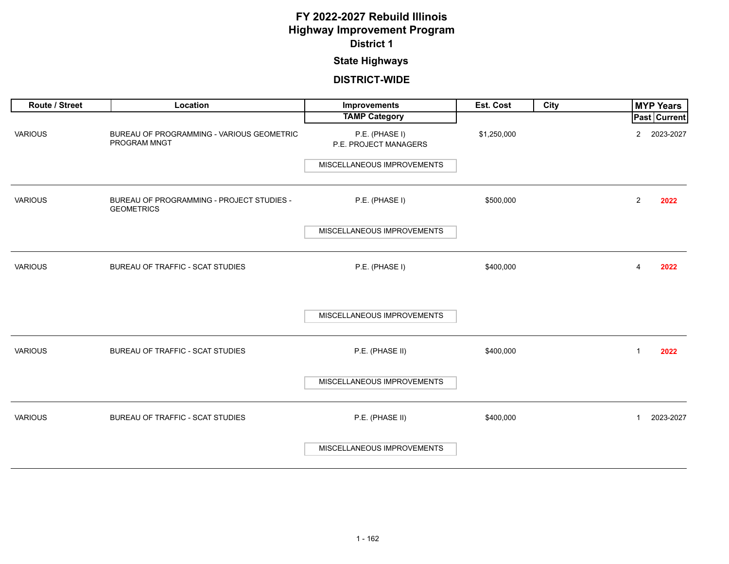### **State Highways**

| Route / Street | Location                                                       | Improvements                            | Est. Cost   | <b>City</b> | <b>MYP Years</b>            |
|----------------|----------------------------------------------------------------|-----------------------------------------|-------------|-------------|-----------------------------|
|                |                                                                | <b>TAMP Category</b>                    |             |             | Past Current                |
| <b>VARIOUS</b> | BUREAU OF PROGRAMMING - VARIOUS GEOMETRIC<br>PROGRAM MNGT      | P.E. (PHASE I)<br>P.E. PROJECT MANAGERS | \$1,250,000 |             | 2023-2027<br>$\overline{2}$ |
|                |                                                                | MISCELLANEOUS IMPROVEMENTS              |             |             |                             |
| <b>VARIOUS</b> | BUREAU OF PROGRAMMING - PROJECT STUDIES -<br><b>GEOMETRICS</b> | P.E. (PHASE I)                          | \$500,000   |             | $\overline{2}$<br>2022      |
|                |                                                                | MISCELLANEOUS IMPROVEMENTS              |             |             |                             |
|                |                                                                |                                         |             |             |                             |
| <b>VARIOUS</b> | BUREAU OF TRAFFIC - SCAT STUDIES                               | P.E. (PHASE I)                          | \$400,000   |             | 2022<br>4                   |
|                |                                                                | MISCELLANEOUS IMPROVEMENTS              |             |             |                             |
| <b>VARIOUS</b> | BUREAU OF TRAFFIC - SCAT STUDIES                               | P.E. (PHASE II)                         | \$400,000   |             | 2022<br>$\mathbf{1}$        |
|                |                                                                | MISCELLANEOUS IMPROVEMENTS              |             |             |                             |
| <b>VARIOUS</b> | BUREAU OF TRAFFIC - SCAT STUDIES                               | P.E. (PHASE II)                         | \$400,000   |             | 2023-2027<br>$\mathbf{1}$   |
|                |                                                                | MISCELLANEOUS IMPROVEMENTS              |             |             |                             |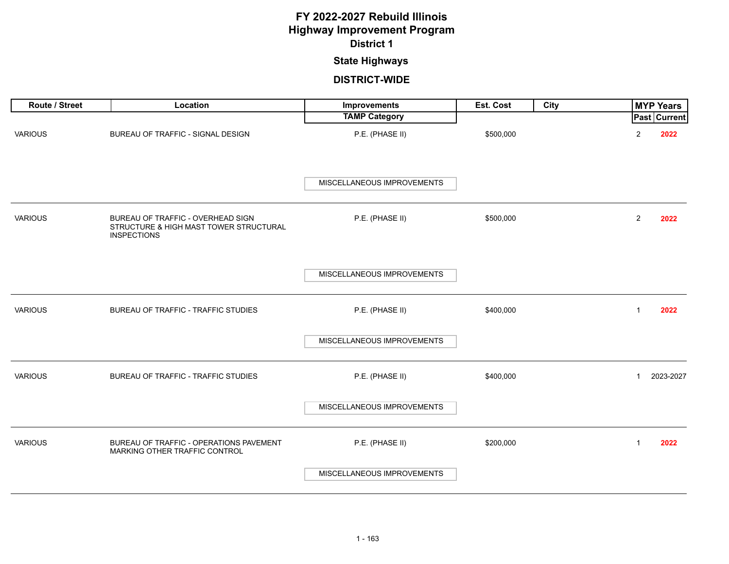# **State Highways**

| Route / Street | Location                                                                                          | Improvements               | Est. Cost | <b>City</b> |                | <b>MYP Years</b> |
|----------------|---------------------------------------------------------------------------------------------------|----------------------------|-----------|-------------|----------------|------------------|
|                |                                                                                                   | <b>TAMP Category</b>       |           |             |                | Past Current     |
| <b>VARIOUS</b> | BUREAU OF TRAFFIC - SIGNAL DESIGN                                                                 | P.E. (PHASE II)            | \$500,000 |             | $\overline{c}$ | 2022             |
|                |                                                                                                   | MISCELLANEOUS IMPROVEMENTS |           |             |                |                  |
| <b>VARIOUS</b> | BUREAU OF TRAFFIC - OVERHEAD SIGN<br>STRUCTURE & HIGH MAST TOWER STRUCTURAL<br><b>INSPECTIONS</b> | P.E. (PHASE II)            | \$500,000 |             | $\overline{2}$ | 2022             |
|                |                                                                                                   | MISCELLANEOUS IMPROVEMENTS |           |             |                |                  |
| <b>VARIOUS</b> | BUREAU OF TRAFFIC - TRAFFIC STUDIES                                                               | P.E. (PHASE II)            | \$400,000 |             | $\mathbf{1}$   | 2022             |
|                |                                                                                                   | MISCELLANEOUS IMPROVEMENTS |           |             |                |                  |
| <b>VARIOUS</b> | BUREAU OF TRAFFIC - TRAFFIC STUDIES                                                               | P.E. (PHASE II)            | \$400,000 |             | $\mathbf{1}$   | 2023-2027        |
|                |                                                                                                   | MISCELLANEOUS IMPROVEMENTS |           |             |                |                  |
| <b>VARIOUS</b> | BUREAU OF TRAFFIC - OPERATIONS PAVEMENT<br>MARKING OTHER TRAFFIC CONTROL                          | P.E. (PHASE II)            | \$200,000 |             | 1              | 2022             |
|                |                                                                                                   | MISCELLANEOUS IMPROVEMENTS |           |             |                |                  |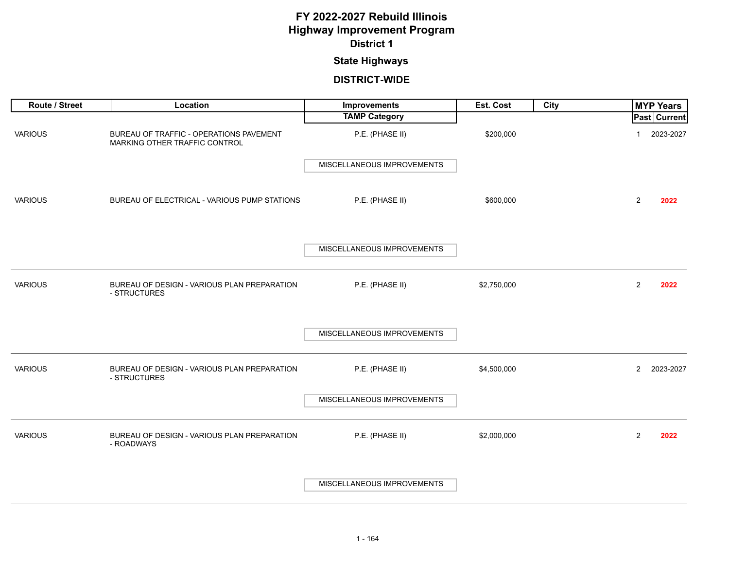#### **State Highways**

| Route / Street | Location                                                                 | Improvements               | Est. Cost   | City |                | <b>MYP Years</b>    |
|----------------|--------------------------------------------------------------------------|----------------------------|-------------|------|----------------|---------------------|
|                |                                                                          | <b>TAMP Category</b>       |             |      |                | <b>Past Current</b> |
| <b>VARIOUS</b> | BUREAU OF TRAFFIC - OPERATIONS PAVEMENT<br>MARKING OTHER TRAFFIC CONTROL | P.E. (PHASE II)            | \$200,000   |      |                | 2023-2027           |
|                |                                                                          | MISCELLANEOUS IMPROVEMENTS |             |      |                |                     |
| <b>VARIOUS</b> | BUREAU OF ELECTRICAL - VARIOUS PUMP STATIONS                             | P.E. (PHASE II)            | \$600,000   |      | 2              | 2022                |
|                |                                                                          | MISCELLANEOUS IMPROVEMENTS |             |      |                |                     |
| <b>VARIOUS</b> | BUREAU OF DESIGN - VARIOUS PLAN PREPARATION<br>- STRUCTURES              | P.E. (PHASE II)            | \$2,750,000 |      | 2              | 2022                |
|                |                                                                          | MISCELLANEOUS IMPROVEMENTS |             |      |                |                     |
| <b>VARIOUS</b> | BUREAU OF DESIGN - VARIOUS PLAN PREPARATION<br>- STRUCTURES              | P.E. (PHASE II)            | \$4,500,000 |      | $\overline{2}$ | 2023-2027           |
|                |                                                                          | MISCELLANEOUS IMPROVEMENTS |             |      |                |                     |
| <b>VARIOUS</b> | BUREAU OF DESIGN - VARIOUS PLAN PREPARATION<br>- ROADWAYS                | P.E. (PHASE II)            | \$2,000,000 |      | 2              | 2022                |
|                |                                                                          | MISCELLANEOUS IMPROVEMENTS |             |      |                |                     |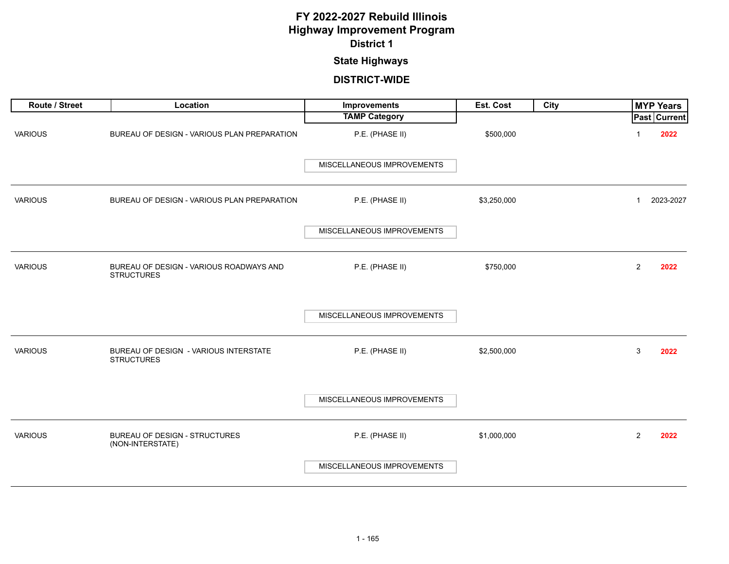### **State Highways**

| Route / Street | Location                                                     | <b>Improvements</b>        | Est. Cost   | City |                | <b>MYP Years</b>    |
|----------------|--------------------------------------------------------------|----------------------------|-------------|------|----------------|---------------------|
|                |                                                              | <b>TAMP Category</b>       |             |      |                | <b>Past Current</b> |
| <b>VARIOUS</b> | BUREAU OF DESIGN - VARIOUS PLAN PREPARATION                  | P.E. (PHASE II)            | \$500,000   |      |                | 2022                |
|                |                                                              | MISCELLANEOUS IMPROVEMENTS |             |      |                |                     |
| <b>VARIOUS</b> | BUREAU OF DESIGN - VARIOUS PLAN PREPARATION                  | P.E. (PHASE II)            | \$3,250,000 |      | $\mathbf{1}$   | 2023-2027           |
|                |                                                              | MISCELLANEOUS IMPROVEMENTS |             |      |                |                     |
| <b>VARIOUS</b> | BUREAU OF DESIGN - VARIOUS ROADWAYS AND<br><b>STRUCTURES</b> | P.E. (PHASE II)            | \$750,000   |      | $\overline{2}$ | 2022                |
|                |                                                              | MISCELLANEOUS IMPROVEMENTS |             |      |                |                     |
| <b>VARIOUS</b> | BUREAU OF DESIGN - VARIOUS INTERSTATE<br><b>STRUCTURES</b>   | P.E. (PHASE II)            | \$2,500,000 |      | 3              | 2022                |
|                |                                                              | MISCELLANEOUS IMPROVEMENTS |             |      |                |                     |
| <b>VARIOUS</b> | <b>BUREAU OF DESIGN - STRUCTURES</b><br>(NON-INTERSTATE)     | P.E. (PHASE II)            | \$1,000,000 |      | $\overline{2}$ | 2022                |
|                |                                                              | MISCELLANEOUS IMPROVEMENTS |             |      |                |                     |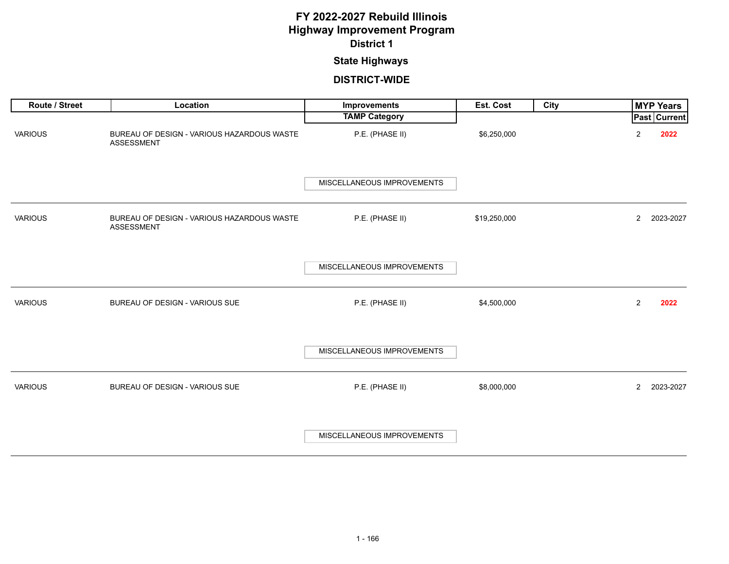### **State Highways**

| Route / Street | Location                                                 | Improvements               | Est. Cost    | City | <b>MYP Years</b>                |
|----------------|----------------------------------------------------------|----------------------------|--------------|------|---------------------------------|
|                |                                                          | <b>TAMP Category</b>       |              |      | <b>Past Current</b>             |
| <b>VARIOUS</b> | BUREAU OF DESIGN - VARIOUS HAZARDOUS WASTE<br>ASSESSMENT | P.E. (PHASE II)            | \$6,250,000  |      | $\overline{\mathbf{c}}$<br>2022 |
|                |                                                          | MISCELLANEOUS IMPROVEMENTS |              |      |                                 |
| <b>VARIOUS</b> | BUREAU OF DESIGN - VARIOUS HAZARDOUS WASTE<br>ASSESSMENT | P.E. (PHASE II)            | \$19,250,000 |      | $\mathbf{2}$<br>2023-2027       |
|                |                                                          | MISCELLANEOUS IMPROVEMENTS |              |      |                                 |
| <b>VARIOUS</b> | BUREAU OF DESIGN - VARIOUS SUE                           | P.E. (PHASE II)            | \$4,500,000  |      | $\overline{2}$<br>2022          |
|                |                                                          | MISCELLANEOUS IMPROVEMENTS |              |      |                                 |
| <b>VARIOUS</b> | BUREAU OF DESIGN - VARIOUS SUE                           | P.E. (PHASE II)            | \$8,000,000  |      | $\overline{2}$<br>2023-2027     |
|                |                                                          | MISCELLANEOUS IMPROVEMENTS |              |      |                                 |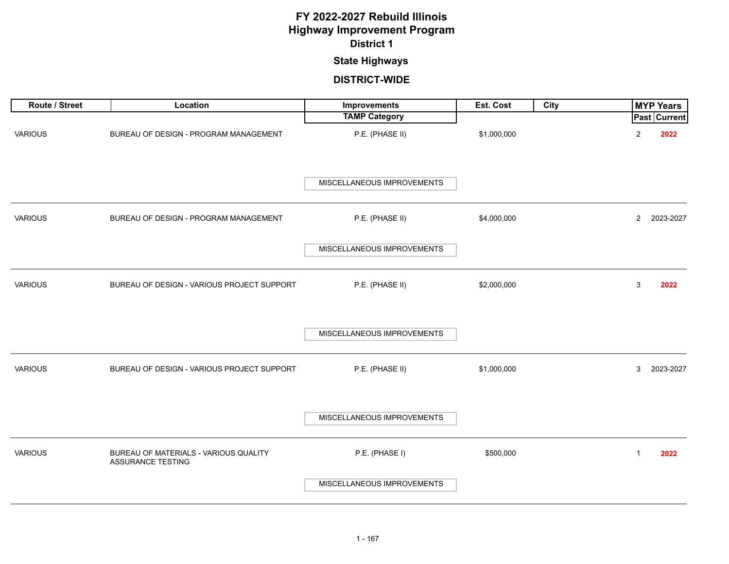### **State Highways**

| Route / Street | Location                                                   | Improvements               | Est. Cost   | City | <b>MYP Years</b>            |
|----------------|------------------------------------------------------------|----------------------------|-------------|------|-----------------------------|
|                |                                                            | <b>TAMP Category</b>       |             |      | <b>Past Current</b>         |
| <b>VARIOUS</b> | BUREAU OF DESIGN - PROGRAM MANAGEMENT                      | P.E. (PHASE II)            | \$1,000,000 |      | $\overline{c}$<br>2022      |
|                |                                                            | MISCELLANEOUS IMPROVEMENTS |             |      |                             |
| <b>VARIOUS</b> | BUREAU OF DESIGN - PROGRAM MANAGEMENT                      | P.E. (PHASE II)            | \$4,000,000 |      | $\overline{2}$<br>2023-2027 |
|                |                                                            | MISCELLANEOUS IMPROVEMENTS |             |      |                             |
| <b>VARIOUS</b> | BUREAU OF DESIGN - VARIOUS PROJECT SUPPORT                 | P.E. (PHASE II)            | \$2,000,000 |      | 3<br>2022                   |
|                |                                                            | MISCELLANEOUS IMPROVEMENTS |             |      |                             |
| <b>VARIOUS</b> | BUREAU OF DESIGN - VARIOUS PROJECT SUPPORT                 | P.E. (PHASE II)            | \$1,000,000 |      | 3<br>2023-2027              |
|                |                                                            | MISCELLANEOUS IMPROVEMENTS |             |      |                             |
| <b>VARIOUS</b> | BUREAU OF MATERIALS - VARIOUS QUALITY<br>ASSURANCE TESTING | P.E. (PHASE I)             | \$500,000   |      | 2022<br>$\mathbf{1}$        |
|                |                                                            | MISCELLANEOUS IMPROVEMENTS |             |      |                             |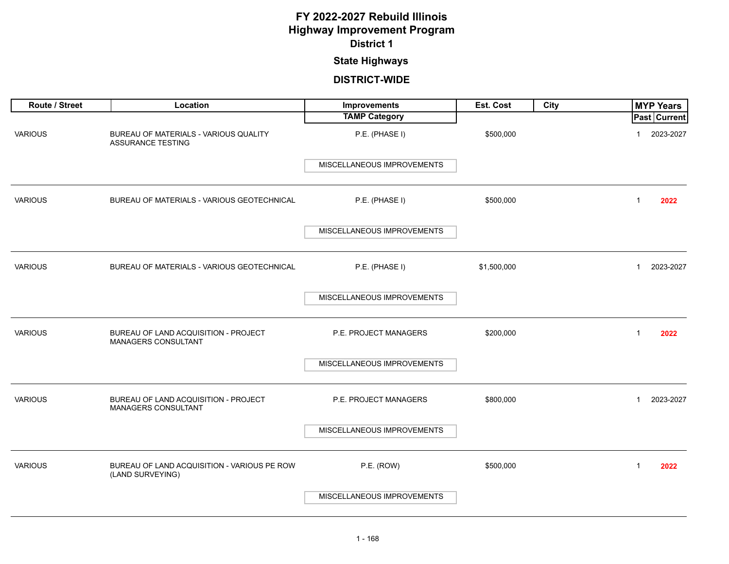### **State Highways**

| Route / Street | Location                                                          | Improvements               | Est. Cost   | City | <b>MYP Years</b>          |
|----------------|-------------------------------------------------------------------|----------------------------|-------------|------|---------------------------|
|                |                                                                   | <b>TAMP Category</b>       |             |      | Past Current              |
| <b>VARIOUS</b> | BUREAU OF MATERIALS - VARIOUS QUALITY<br><b>ASSURANCE TESTING</b> | P.E. (PHASE I)             | \$500,000   |      | 2023-2027<br>$\mathbf 1$  |
|                |                                                                   | MISCELLANEOUS IMPROVEMENTS |             |      |                           |
| <b>VARIOUS</b> | BUREAU OF MATERIALS - VARIOUS GEOTECHNICAL                        | P.E. (PHASE I)             | \$500,000   |      | 2022<br>$\mathbf{1}$      |
|                |                                                                   | MISCELLANEOUS IMPROVEMENTS |             |      |                           |
| <b>VARIOUS</b> | BUREAU OF MATERIALS - VARIOUS GEOTECHNICAL                        | P.E. (PHASE I)             | \$1,500,000 |      | 2023-2027<br>1            |
|                |                                                                   | MISCELLANEOUS IMPROVEMENTS |             |      |                           |
| <b>VARIOUS</b> | BUREAU OF LAND ACQUISITION - PROJECT<br>MANAGERS CONSULTANT       | P.E. PROJECT MANAGERS      | \$200,000   |      | 2022<br>1                 |
|                |                                                                   | MISCELLANEOUS IMPROVEMENTS |             |      |                           |
| <b>VARIOUS</b> | BUREAU OF LAND ACQUISITION - PROJECT<br>MANAGERS CONSULTANT       | P.E. PROJECT MANAGERS      | \$800,000   |      | 2023-2027<br>$\mathbf{1}$ |
|                |                                                                   | MISCELLANEOUS IMPROVEMENTS |             |      |                           |
| <b>VARIOUS</b> | BUREAU OF LAND ACQUISITION - VARIOUS PE ROW<br>(LAND SURVEYING)   | P.E. (ROW)                 | \$500,000   |      | $\mathbf{1}$<br>2022      |
|                |                                                                   | MISCELLANEOUS IMPROVEMENTS |             |      |                           |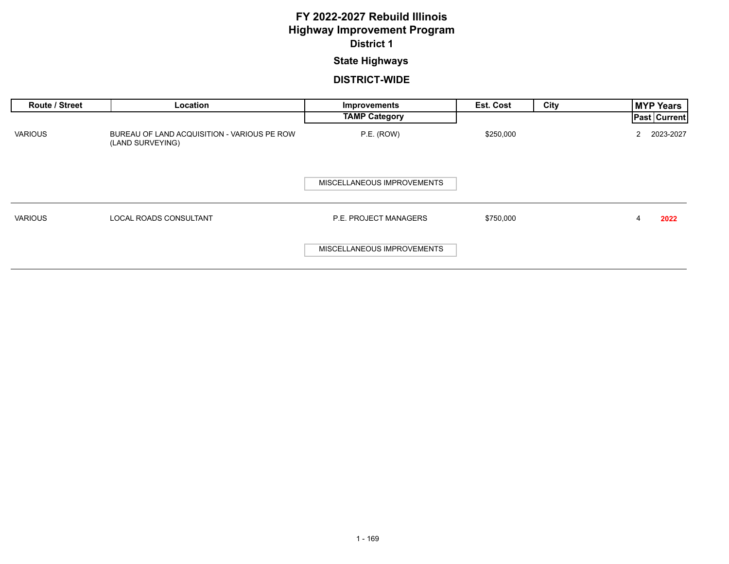#### **State Highways**

| <b>Route / Street</b> | Location                                                        | Improvements                 | <b>Est. Cost</b> | City | <b>MYP Years</b>    |
|-----------------------|-----------------------------------------------------------------|------------------------------|------------------|------|---------------------|
|                       |                                                                 | <b>TAMP Category</b>         |                  |      | <b>Past Current</b> |
| <b>VARIOUS</b>        | BUREAU OF LAND ACQUISITION - VARIOUS PE ROW<br>(LAND SURVEYING) | P.E. (ROW)                   | \$250,000        |      | 2023-2027<br>2      |
|                       |                                                                 | MISCELLANEOUS IMPROVEMENTS   |                  |      |                     |
| <b>VARIOUS</b>        | <b>LOCAL ROADS CONSULTANT</b>                                   | <b>P.E. PROJECT MANAGERS</b> | \$750,000        |      | 2022<br>4           |
|                       |                                                                 | MISCELLANEOUS IMPROVEMENTS   |                  |      |                     |